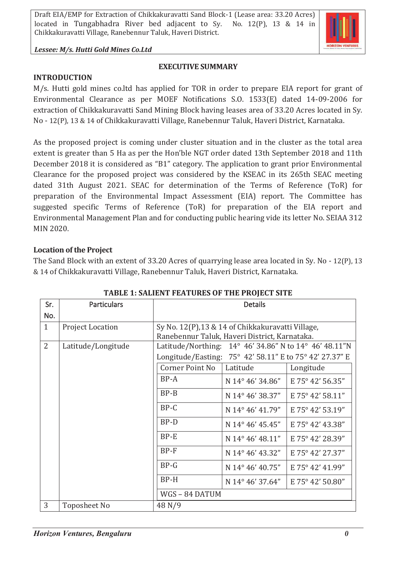

### *Lessee: M/s. Hutti Gold Mines Co.Ltd*

# **EXECUTIVE SUMMARY**

#### **INTRODUCTION**

M/s. Hutti gold mines co.ltd has applied for TOR in order to prepare EIA report for grant of Environmental Clearance as per MOEF Notifications S.O. 1533(E) dated 14-09-2006 for extraction of Chikkakuravatti Sand Mining Block having leases area of 33.20 Acres located in Sy. No - 12(P), 13 & 14 of Chikkakuravatti Village, Ranebennur Taluk, Haveri District, Karnataka.

As the proposed project is coming under cluster situation and in the cluster as the total area extent is greater than 5 Ha as per the Hon'ble NGT order dated 13th September 2018 and 11th December 2018 it is considered as "B1" category. The application to grant prior Environmental Clearance for the proposed project was considered by the KSEAC in its 265th SEAC meeting dated 31th August 2021. SEAC for determination of the Terms of Reference (ToR) for preparation of the Environmental Impact Assessment (EIA) report. The Committee has suggested specific Terms of Reference (ToR) for preparation of the EIA report and Environmental Management Plan and for conducting public hearing vide its letter No. SEIAA 312 MIN 2020.

## **Location of the Project**

The Sand Block with an extent of 33.20 Acres of quarrying lease area located in Sy. No - 12(P), 13 & 14 of Chikkakuravatti Village, Ranebennur Taluk, Haveri District, Karnataka.

| Sr.            | <b>Particulars</b>      | <b>Details</b>                                          |                  |                  |
|----------------|-------------------------|---------------------------------------------------------|------------------|------------------|
| No.            |                         |                                                         |                  |                  |
| $\mathbf{1}$   | <b>Project Location</b> | Sy No. 12(P), 13 & 14 of Chikkakuravatti Village,       |                  |                  |
|                |                         | Ranebennur Taluk, Haveri District, Karnataka.           |                  |                  |
| $\overline{2}$ | Latitude/Longitude      | Latitude/Northing: 14° 46' 34.86" N to 14° 46' 48.11"N  |                  |                  |
|                |                         | Longitude/Easting: 75° 42' 58.11" E to 75° 42' 27.37" E |                  |                  |
|                |                         | Corner Point No                                         | Latitude         | Longitude        |
|                |                         | $BP-A$                                                  | N 14° 46' 34.86" | E 75° 42' 56.35" |
|                |                         | $BP-B$                                                  | N 14° 46' 38.37" | E 75° 42' 58.11" |
|                |                         | BP-C                                                    | N 14° 46' 41.79" | E 75° 42' 53.19" |
|                |                         | $BP-D$                                                  | N 14° 46' 45.45" | E 75° 42' 43.38" |
|                |                         | $BP-E$                                                  | N 14° 46' 48.11" | E 75° 42' 28.39" |
|                |                         | $BP-F$                                                  | N 14° 46' 43.32" | E 75° 42' 27.37" |
|                |                         | $BP-G$                                                  | N 14° 46' 40.75" | E 75° 42' 41.99" |
|                |                         | $BP-H$                                                  | N 14° 46' 37.64" | E 75° 42' 50.80" |
|                |                         | WGS-84 DATUM                                            |                  |                  |
| 3              | <b>Toposheet No</b>     | 48 N/9                                                  |                  |                  |

# **TABLE 1: SALIENT FEATURES OF THE PROJECT SITE**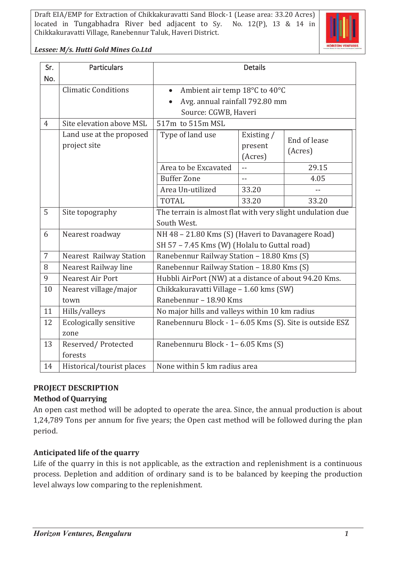

### *Lessee: M/s. Hutti Gold Mines Co.Ltd*

| Sr.            | <b>Particulars</b>                       | <b>Details</b>                                                            |                                  |                         |
|----------------|------------------------------------------|---------------------------------------------------------------------------|----------------------------------|-------------------------|
| No.            |                                          |                                                                           |                                  |                         |
|                | <b>Climatic Conditions</b>               | Ambient air temp 18°C to 40°C                                             |                                  |                         |
|                |                                          | Avg. annual rainfall 792.80 mm                                            |                                  |                         |
|                |                                          | Source: CGWB, Haveri                                                      |                                  |                         |
| $\overline{4}$ | Site elevation above MSL                 | 517m to 515m MSL                                                          |                                  |                         |
|                | Land use at the proposed<br>project site | Type of land use                                                          | Existing /<br>present<br>(Acres) | End of lease<br>(Acres) |
|                |                                          | Area to be Excavated                                                      | $-$                              | 29.15                   |
|                |                                          | <b>Buffer Zone</b>                                                        | $\sim$                           | 4.05                    |
|                |                                          | Area Un-utilized                                                          | 33.20                            |                         |
|                |                                          | <b>TOTAL</b>                                                              | 33.20                            | 33.20                   |
| 5              | Site topography                          | The terrain is almost flat with very slight undulation due<br>South West. |                                  |                         |
| 6              | Nearest roadway                          | NH 48 - 21.80 Kms (S) (Haveri to Davanagere Road)                         |                                  |                         |
|                |                                          | SH 57 - 7.45 Kms (W) (Holalu to Guttal road)                              |                                  |                         |
| $\overline{7}$ | <b>Nearest Railway Station</b>           | Ranebennur Railway Station - 18.80 Kms (S)                                |                                  |                         |
| 8              | Nearest Railway line                     | Ranebennur Railway Station - 18.80 Kms (S)                                |                                  |                         |
| 9              | Nearest Air Port                         | Hubbli AirPort (NW) at a distance of about 94.20 Kms.                     |                                  |                         |
| 10             | Nearest village/major                    | Chikkakuravatti Village - 1.60 kms (SW)                                   |                                  |                         |
|                | town                                     | Ranebennur - 18.90 Kms                                                    |                                  |                         |
| 11             | Hills/valleys                            | No major hills and valleys within 10 km radius                            |                                  |                         |
| 12             | <b>Ecologically sensitive</b><br>zone    | Ranebennuru Block - 1-6.05 Kms (S). Site is outside ESZ                   |                                  |                         |
| 13             | Reserved/Protected                       | Ranebennuru Block - 1-6.05 Kms (S)                                        |                                  |                         |
|                | forests                                  |                                                                           |                                  |                         |
| 14             | Historical/tourist places                | None within 5 km radius area                                              |                                  |                         |

# **PROJECT DESCRIPTION**

# **Method of Quarrying**

An open cast method will be adopted to operate the area. Since, the annual production is about 1,24,789 Tons per annum for five years; the Open cast method will be followed during the plan period.

# **Anticipated life of the quarry**

Life of the quarry in this is not applicable, as the extraction and replenishment is a continuous process. Depletion and addition of ordinary sand is to be balanced by keeping the production level always low comparing to the replenishment.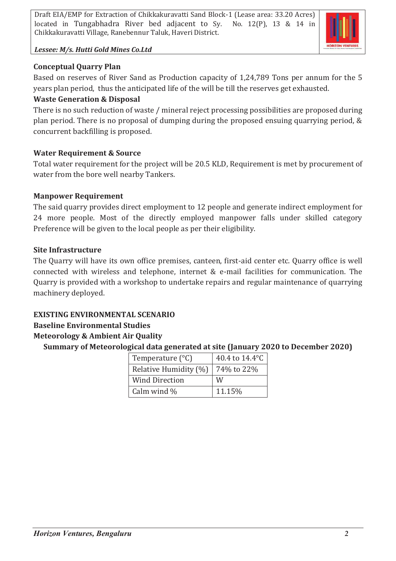

## *Lessee: M/s. Hutti Gold Mines Co.Ltd*

## **Conceptual Quarry Plan**

Based on reserves of River Sand as Production capacity of 1,24,789 Tons per annum for the 5 years plan period, thus the anticipated life of the will be till the reserves get exhausted.

## **Waste Generation & Disposal**

There is no such reduction of waste / mineral reject processing possibilities are proposed during plan period. There is no proposal of dumping during the proposed ensuing quarrying period, & concurrent backfilling is proposed.

## **Water Requirement & Source**

Total water requirement for the project will be 20.5 KLD, Requirement is met by procurement of water from the bore well nearby Tankers.

## **Manpower Requirement**

The said quarry provides direct employment to 12 people and generate indirect employment for 24 more people. Most of the directly employed manpower falls under skilled category Preference will be given to the local people as per their eligibility.

## **Site Infrastructure**

The Quarry will have its own office premises, canteen, first-aid center etc. Quarry office is well connected with wireless and telephone, internet & e-mail facilities for communication. The Quarry is provided with a workshop to undertake repairs and regular maintenance of quarrying machinery deployed.

# **EXISTING ENVIRONMENTAL SCENARIO**

# **Baseline Environmental Studies**

# **Meteorology & Ambient Air Quality**

**Summary of Meteorological data generated at site (January 2020 to December 2020)**

| Temperature $(^{\circ}C)$ | 40.4 to 14.4°C |  |  |
|---------------------------|----------------|--|--|
| Relative Humidity (%)     | 74% to 22%     |  |  |
| <b>Wind Direction</b>     | W              |  |  |
| Calm wind %               | 11.15%         |  |  |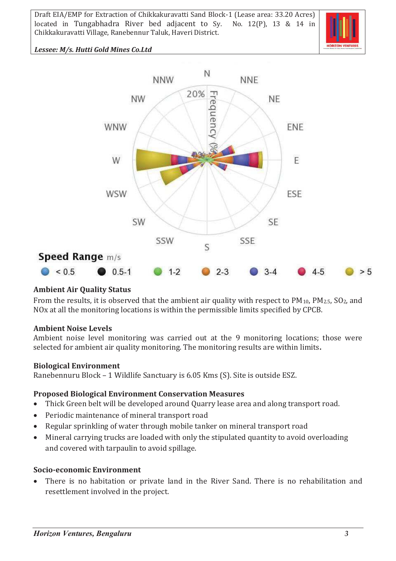

## *Lessee: M/s. Hutti Gold Mines Co.Ltd*



# **Ambient Air Quality Status**

From the results, it is observed that the ambient air quality with respect to PM<sub>10</sub>, PM<sub>2.5</sub>, SO<sub>2</sub>, and NOx at all the monitoring locations is within the permissible limits specified by CPCB.

### **Ambient Noise Levels**

Ambient noise level monitoring was carried out at the 9 monitoring locations; those were selected for ambient air quality monitoring. The monitoring results are within limits**.**

### **Biological Environment**

Ranebennuru Block – 1 Wildlife Sanctuary is 6.05 Kms (S). Site is outside ESZ.

#### **Proposed Biological Environment Conservation Measures**

- · Thick Green belt will be developed around Quarry lease area and along transport road.
- · Periodic maintenance of mineral transport road
- · Regular sprinkling of water through mobile tanker on mineral transport road
- · Mineral carrying trucks are loaded with only the stipulated quantity to avoid overloading and covered with tarpaulin to avoid spillage.

#### **Socio-economic Environment**

There is no habitation or private land in the River Sand. There is no rehabilitation and resettlement involved in the project.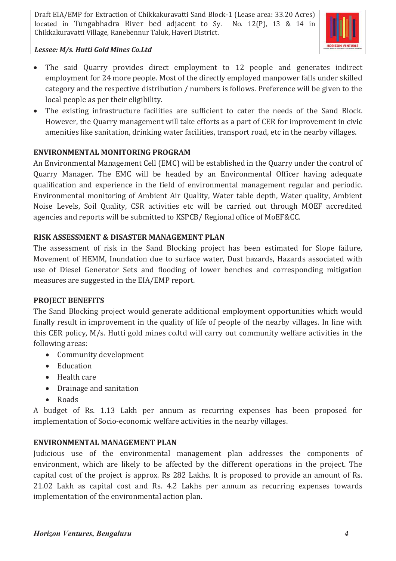

# *Lessee: M/s. Hutti Gold Mines Co.Ltd*

- The said Quarry provides direct employment to 12 people and generates indirect employment for 24 more people. Most of the directly employed manpower falls under skilled category and the respective distribution / numbers is follows. Preference will be given to the local people as per their eligibility.
- · The existing infrastructure facilities are sufficient to cater the needs of the Sand Block. However, the Quarry management will take efforts as a part of CER for improvement in civic amenities like sanitation, drinking water facilities, transport road, etc in the nearby villages.

# **ENVIRONMENTAL MONITORING PROGRAM**

An Environmental Management Cell (EMC) will be established in the Quarry under the control of Quarry Manager. The EMC will be headed by an Environmental Officer having adequate qualification and experience in the field of environmental management regular and periodic. Environmental monitoring of Ambient Air Quality, Water table depth, Water quality, Ambient Noise Levels, Soil Quality, CSR activities etc will be carried out through MOEF accredited agencies and reports will be submitted to KSPCB/ Regional office of MoEF&CC.

## **RISK ASSESSMENT & DISASTER MANAGEMENT PLAN**

The assessment of risk in the Sand Blocking project has been estimated for Slope failure, Movement of HEMM, Inundation due to surface water, Dust hazards, Hazards associated with use of Diesel Generator Sets and flooding of lower benches and corresponding mitigation measures are suggested in the EIA/EMP report.

# **PROJECT BENEFITS**

The Sand Blocking project would generate additional employment opportunities which would finally result in improvement in the quality of life of people of the nearby villages. In line with this CER policy, M/s. Hutti gold mines co.ltd will carry out community welfare activities in the following areas:

- · Community development
- · Education
- · Health care
- · Drainage and sanitation
- · Roads

A budget of Rs. 1.13 Lakh per annum as recurring expenses has been proposed for implementation of Socio-economic welfare activities in the nearby villages.

# **ENVIRONMENTAL MANAGEMENT PLAN**

Judicious use of the environmental management plan addresses the components of environment, which are likely to be affected by the different operations in the project. The capital cost of the project is approx. Rs 282 Lakhs. It is proposed to provide an amount of Rs. 21.02 Lakh as capital cost and Rs. 4.2 Lakhs per annum as recurring expenses towards implementation of the environmental action plan.